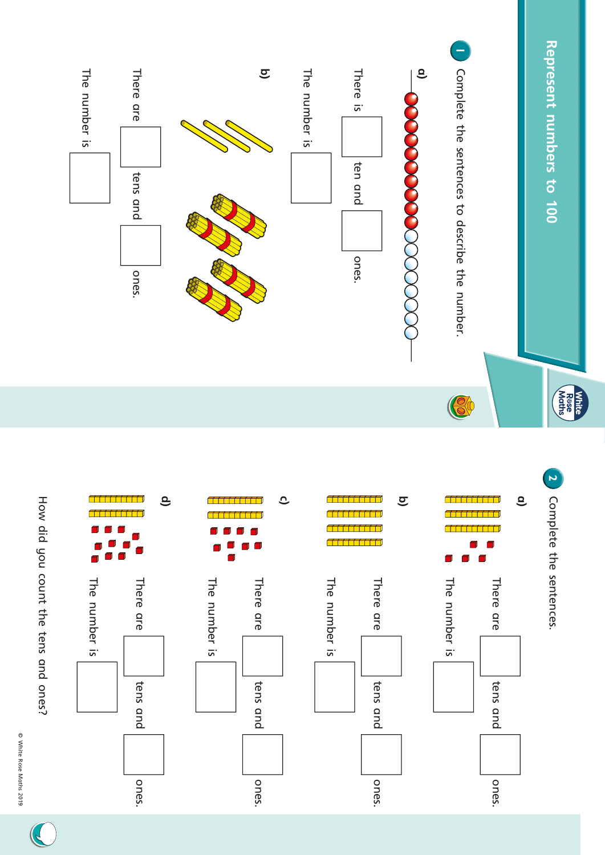